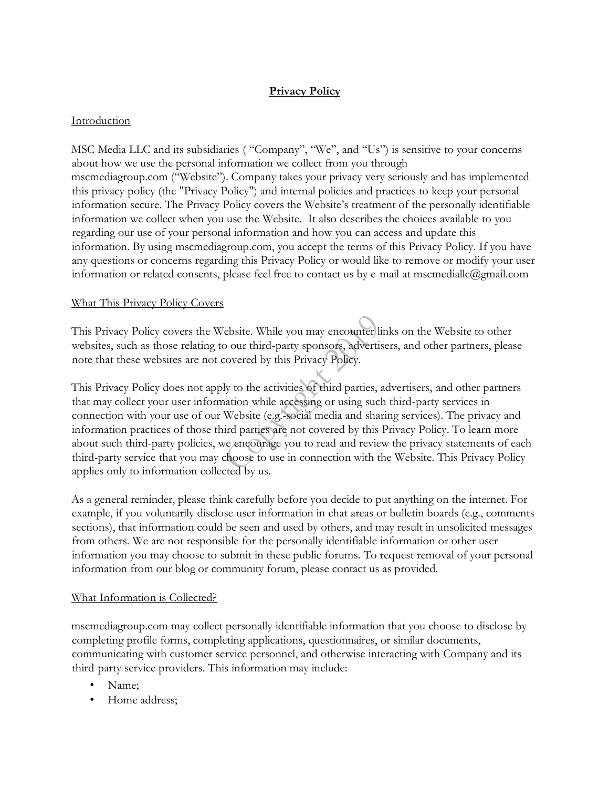# **Privacy Policy**

## Introduction

MSC Media LLC and its subsidiaries ( "Company", "We", and "Us") is sensitive to your concerns about how we use the personal information we collect from you through mscmediagroup.com ("Website"). Company takes your privacy very seriously and has implemented this privacy policy (the "Privacy Policy") and internal policies and practices to keep your personal information secure. The Privacy Policy covers the Website's treatment of the personally identifiable information we collect when you use the Website. It also describes the choices available to you regarding our use of your personal information and how you can access and update this information. By using mscmediagroup.com, you accept the terms of this Privacy Policy. If you have any questions or concerns regarding this Privacy Policy or would like to remove or modify your user information or related consents, please feel free to contact us by e-mail at mscmediallc@gmail.com

## What This Privacy Policy Covers

This Privacy Policy covers the Website. While you may encounter links on the Website to other websites, such as those relating to our third-party sponsors, advertisers, and other partners, please note that these websites are not covered by this Privacy Policy.

This Privacy Policy does not apply to the activities of third parties, advertisers, and other partners that may collect your user information while accessing or using such third-party services in connection with your use of our Website (e.g. social media and sharing services). The privacy and information practices of those third parties are not covered by this Privacy Policy. To learn more about such third-party policies, we encourage you to read and review the privacy statements of each third-party service that you may choose to use in connection with the Website. This Privacy Policy applies only to information collected by us.

As a general reminder, please think carefully before you decide to put anything on the internet. For example, if you voluntarily disclose user information in chat areas or bulletin boards (e.g., comments sections), that information could be seen and used by others, and may result in unsolicited messages from others. We are not responsible for the personally identifiable information or other user information you may choose to submit in these public forums. To request removal of your personal information from our blog or community forum, please contact us as provided.

#### What Information is Collected?

mscmediagroup.com may collect personally identifiable information that you choose to disclose by completing profile forms, completing applications, questionnaires, or similar documents, communicating with customer service personnel, and otherwise interacting with Company and its third-party service providers. This information may include:

- Name:
- Home address;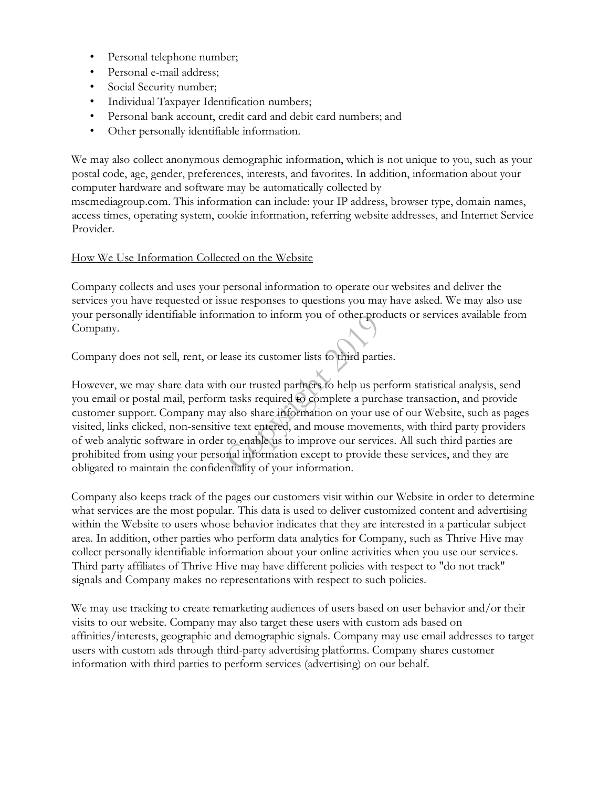- Personal telephone number;
- Personal e-mail address;
- Social Security number;
- Individual Taxpayer Identification numbers;
- Personal bank account, credit card and debit card numbers; and
- Other personally identifiable information.

We may also collect anonymous demographic information, which is not unique to you, such as your postal code, age, gender, preferences, interests, and favorites. In addition, information about your computer hardware and software may be automatically collected by

mscmediagroup.com. This information can include: your IP address, browser type, domain names, access times, operating system, cookie information, referring website addresses, and Internet Service Provider.

## How We Use Information Collected on the Website

Company collects and uses your personal information to operate our websites and deliver the services you have requested or issue responses to questions you may have asked. We may also use your personally identifiable information to inform you of other products or services available from Company.

Company does not sell, rent, or lease its customer lists to third parties.

However, we may share data with our trusted partners to help us perform statistical analysis, send you email or postal mail, perform tasks required to complete a purchase transaction, and provide customer support. Company may also share information on your use of our Website, such as pages visited, links clicked, non-sensitive text entered, and mouse movements, with third party providers of web analytic software in order to enable us to improve our services. All such third parties are prohibited from using your personal information except to provide these services, and they are obligated to maintain the confidentiality of your information.

Company also keeps track of the pages our customers visit within our Website in order to determine what services are the most popular. This data is used to deliver customized content and advertising within the Website to users whose behavior indicates that they are interested in a particular subject area. In addition, other parties who perform data analytics for Company, such as Thrive Hive may collect personally identifiable information about your online activities when you use our services. Third party affiliates of Thrive Hive may have different policies with respect to "do not track" signals and Company makes no representations with respect to such policies.

We may use tracking to create remarketing audiences of users based on user behavior and/or their visits to our website. Company may also target these users with custom ads based on affinities/interests, geographic and demographic signals. Company may use email addresses to target users with custom ads through third-party advertising platforms. Company shares customer information with third parties to perform services (advertising) on our behalf.